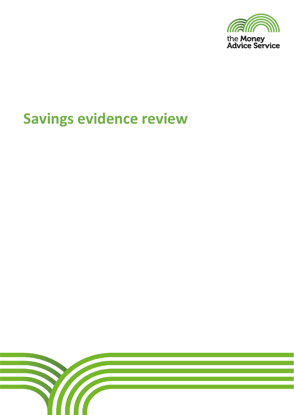

# **Savings evidence review**

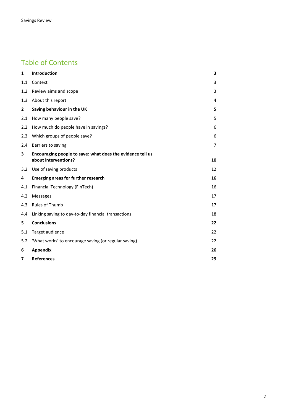# Table of Contents

| $\mathbf{1}$ | Introduction                                                                       | 3  |
|--------------|------------------------------------------------------------------------------------|----|
| 1.1          | Context                                                                            | 3  |
| 1.2          | Review aims and scope                                                              | 3  |
| 1.3          | About this report                                                                  | 4  |
| $\mathbf{2}$ | Saving behaviour in the UK                                                         | 5. |
| 2.1          | How many people save?                                                              | 5  |
| 2.2          | How much do people have in savings?                                                | 6  |
| 2.3          | Which groups of people save?                                                       | 6  |
| 2.4          | Barriers to saving                                                                 | 7  |
| 3            | Encouraging people to save: what does the evidence tell us<br>about interventions? | 10 |
| 3.2          | Use of saving products                                                             | 12 |
| 4            | <b>Emerging areas for further research</b>                                         | 16 |
| 4.1          | Financial Technology (FinTech)                                                     | 16 |
| 4.2          | <b>Messages</b>                                                                    | 17 |
| 4.3          | <b>Rules of Thumb</b>                                                              | 17 |
| 4.4          | Linking saving to day-to-day financial transactions                                | 18 |
| 5            | <b>Conclusions</b>                                                                 | 22 |
| 5.1          | Target audience                                                                    | 22 |
| 5.2          | 'What works' to encourage saving (or regular saving)                               | 22 |
| 6            | <b>Appendix</b>                                                                    | 26 |
| 7            | <b>References</b>                                                                  | 29 |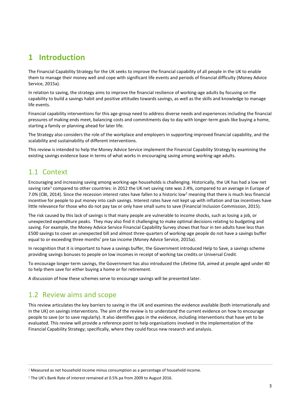# **1 Introduction**

The Financial Capability Strategy for the UK seeks to improve the financial capability of all people in the UK to enable them to manage their money well and cope with significant life events and periods of financial difficulty (Money Advice Service, 2015a).

In relation to saving, the strategy aims to improve the financial resilience of working-age adults by focusing on the capability to build a savings habit and positive attitudes towards savings, as well as the skills and knowledge to manage life events.

Financial capability interventions for this age-group need to address diverse needs and experiences including the financial pressures of making ends meet, balancing costs and commitments day to day with longer-term goals like buying a home, starting a family or planning ahead for later life.

The Strategy also considers the role of the workplace and employers in supporting improved financial capability, and the scalability and sustainability of different interventions.

This review is intended to help the Money Advice Service implement the Financial Capability Strategy by examining the existing savings evidence base in terms of what works in encouraging saving among working-age adults.

# 1.1 Context

Encouraging and increasing saving among working-age households is challenging. Historically, the UK has had a low net saving rate<sup>1</sup> compared to other countries: in 2012 the UK net saving rate was 2.4%, compared to an average in Europe of 7.0% (CBI, 2014). Since the recession interest rates have fallen to a historic low<sup>2</sup> meaning that there is much less financial incentive for people to put money into cash savings. Interest rates have not kept up with inflation and tax incentives have little relevance for those who do not pay tax or only have small sums to save (Financial Inclusion Commission, 2015).

The risk caused by this lack of savings is that many people are vulnerable to income shocks, such as losing a job, or unexpected expenditure peaks. They may also find it challenging to make optimal decisions relating to budgeting and saving. For example, the Money Advice Service Financial Capability Survey shows that four in ten adults have less than £500 savings to cover an unexpected bill and almost three-quarters of working-age people do not have a savings buffer equal to or exceeding three months' pre tax income (Money Advice Service, 2015a).

In recognition that it is important to have a savings buffer, the Government introduced Help to Save, a savings scheme providing savings bonuses to people on low incomes in receipt of working tax credits or Universal Credit.

To encourage longer-term savings, the Government has also introduced the Lifetime ISA, aimed at people aged under 40 to help them save for either buying a home or for retirement.

A discussion of how these schemes serve to encourage savings will be presented later.

# 1.2 Review aims and scope

This review articulates the key barriers to saving in the UK and examines the evidence available (both internationally and in the UK) on savings interventions. The aim of the review is to understand the current evidence on how to encourage people to save (or to save regularly). It also identifies gaps in the evidence, including interventions that have yet to be evaluated. This review will provide a reference point to help organisations involved in the implementation of the Financial Capability Strategy; specifically, where they could focus new research and analysis.

 $1$  Measured as net household income minus consumption as a percentage of household income.

<sup>&</sup>lt;sup>2</sup> The UK's Bank Rate of interest remained at 0.5% pa from 2009 to August 2016.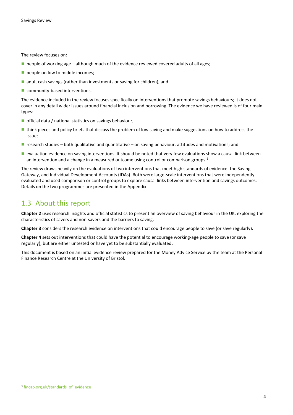The review focuses on:

- $\blacksquare$  people of working age although much of the evidence reviewed covered adults of all ages;
- people on low to middle incomes;
- $\blacksquare$  adult cash savings (rather than investments or saving for children); and
- community-based interventions.

The evidence included in the review focuses specifically on interventions that promote savings behaviours; it does not cover in any detail wider issues around financial inclusion and borrowing. The evidence we have reviewed is of four main types:

- official data / national statistics on savings behaviour;
- think pieces and policy briefs that discuss the problem of low saving and make suggestions on how to address the issue;
- research studies both qualitative and quantitative on saving behaviour, attitudes and motivations; and
- **E** evaluation evidence on saving interventions. It should be noted that very few evaluations show a causal link between an intervention and a change in a measured outcome using control or comparison groups.<sup>3</sup>

The review draws heavily on the evaluations of two interventions that meet high standards of evidence: the Saving Gateway, and Individual Development Accounts (IDAs). Both were large-scale interventions that were independently evaluated and used comparison or control groups to explore causal links between intervention and savings outcomes. Details on the two programmes are presented in the Appendix.

# 1.3 About this report

**Chapter 2** uses research insights and official statistics to present an overview of saving behaviour in the UK, exploring the characteristics of savers and non-savers and the barriers to saving.

**Chapter 3** considers the research evidence on interventions that could encourage people to save (or save regularly).

**Chapter 4** sets out interventions that could have the potential to encourage working-age people to save (or save regularly), but are either untested or have yet to be substantially evaluated.

This document is based on an initial evidence review prepared for the Money Advice Service by the team at the Personal Finance Research Centre at the University of Bristol.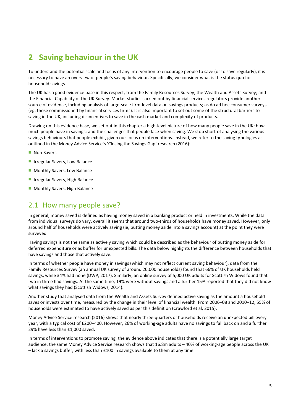# **2 Saving behaviour in the UK**

To understand the potential scale and focus of any intervention to encourage people to save (or to save regularly), it is necessary to have an overview of people's saving behaviour. Specifically, we consider what is the status quo for household savings.

The UK has a good evidence base in this respect, from the Family Resources Survey; the Wealth and Assets Survey; and the Financial Capability of the UK Survey. Market studies carried out by financial services regulators provide another source of evidence, including analysis of large-scale firm-level data on savings products; as do ad hoc consumer surveys (eg, those commissioned by financial services firms). It is also important to set out some of the structural barriers to saving in the UK, including disincentives to save in the cash market and complexity of products.

Drawing on this evidence base, we set out in this chapter a high-level picture of how many people save in the UK; how much people have in savings; and the challenges that people face when saving. We stop short of analysing the various savings behaviours that people exhibit, given our focus on interventions. Instead, we refer to the saving typologies as outlined in the Money Advice Service's 'Closing the Savings Gap' research (2016):

- **Non-Savers**
- **Integular Savers, Low Balance**
- **Monthly Savers, Low Balance**
- **Integular Savers, High Balance**
- **Monthly Savers, High Balance**

# 2.1 How many people save?

In general, money saved is defined as having money saved in a banking product or held in investments. While the data from individual surveys do vary, overall it seems that around two-thirds of households have money saved. However, only around half of households were actively saving (ie, putting money aside into a savings account) at the point they were surveyed.

Having savings is not the same as actively saving which could be described as the behaviour of putting money aside for deferred expenditure or as buffer for unexpected bills. The data below highlights the difference between households that have savings and those that actively save.

In terms of whether people have money in savings (which may not reflect current saving behaviour), data from the Family Resources Survey (an annual UK survey of around 20,000 households) found that 66% of UK households held savings, while 34% had none (DWP, 2017). Similarly, an online survey of 5,000 UK adults for Scottish Widows found that two in three had savings. At the same time, 19% were without savings and a further 15% reported that they did not know what savings they had (Scottish Widows, 2014).

Another study that analysed data from the Wealth and Assets Survey defined active saving as the amount a household saves or invests over time, measured by the change in their level of financial wealth. From 2006–08 and 2010–12, 55% of households were estimated to have actively saved as per this definition (Crawford et al, 2015).

Money Advice Service research (2016) shows that nearly three-quarters of households receive an unexpected bill every year, with a typical cost of £200–400. However, 26% of working-age adults have no savings to fall back on and a further 29% have less than £1,000 saved.

In terms of interventions to promote saving, the evidence above indicates that there is a potentially large target audience: the same Money Advice Service research shows that 16.8m adults – 40% of working-age people across the UK – lack a savings buffer, with less than £100 in savings available to them at any time.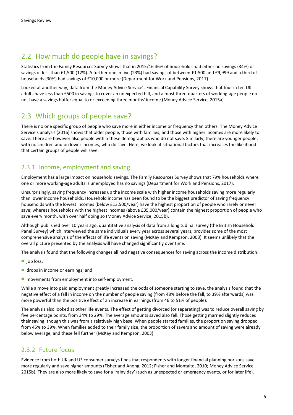# 2.2 How much do people have in savings?

Statistics from the Family Resources Survey shows that in 2015/16 46% of households had either no savings (34%) or savings of less than £1,500 (12%). A further one in five (23%) had savings of between £1,500 and £9,999 and a third of households (30%) had savings of £10,000 or more (Department for Work and Pensions, 2017).

Looked at another way, data from the Money Advice Service's Financial Capability Survey shows that four in ten UK adults have less than £500 in savings to cover an unexpected bill, and almost three-quarters of working-age people do not have a savings buffer equal to or exceeding three months' income (Money Advice Service, 2015a).

# 2.3 Which groups of people save?

There is no one specific group of people who save more in either income or frequency than others. The Money Advice Service's analysis (2016) shows that older people, those with families, and those with higher incomes are more likely to save. There are however also people within these demographics who do not save. Similarly, there are younger people, with no children and on lower incomes, who do save. Here, we look at situational factors that increases the likelihood that certain groups of people will save.

### 2.3.1 Income, employment and saving

Employment has a large impact on household savings. The Family Resources Survey shows that 79% households where one or more working-age adults is unemployed has no savings (Department for Work and Pensions, 2017).

Unsurprisingly, saving frequency increases up the income scale with higher income households saving more regularly than lower income households. Household income has been found to be the biggest predictor of saving frequency: households with the lowest incomes (below £13,500/year) have the highest proportion of people who rarely or never save; whereas households with the highest incomes (above £35,000/year) contain the highest proportion of people who save every month, with over half doing so (Money Advice Service, 2015b).

Although published over 10 years ago, quantitative analysis of data from a longitudinal survey (the British Household Panel Survey) which interviewed the same individuals every year across several years, provides some of the most comprehensive analysis of the effects of life events on saving (McKay and Kempson, 2003). It seems unlikely that the overall picture presented by the analysis will have changed significantly over time.

The analysis found that the following changes all had negative consequences for saving across the income distribution:

- $\blacksquare$  job loss;
- **drops in income or earnings; and**
- movements from employment into self-employment.

While a move into paid employment greatly increased the odds of someone starting to save, the analysis found that the negative effect of a fall in income on the number of people saving (from 48% before the fall, to 39% afterwards) was more powerful than the positive effect of an increase in earnings (from 46 to 51% of people).

The analysis also looked at other life events. The effect of getting divorced (or separating) was to reduce overall saving by five percentage points, from 34% to 29%. The average amounts saved also fell. Those getting married slightly reduced their saving, though this was from a relatively high base. When people started families, the proportion saving dropped from 45% to 39%. When families added to their family size, the proportion of savers and amount of saving were already below average, and these fell further (McKay and Kempson, 2003).

### 2.3.2 Future focus

Evidence from both UK and US consumer surveys finds that respondents with longer financial planning horizons save more regularly and save higher amounts (Fisher and Anong, 2012; Fisher and Montalto, 2010; Money Advice Service, 2015b). They are also more likely to save for a 'rainy day' (such as unexpected or emergency events, or for later life).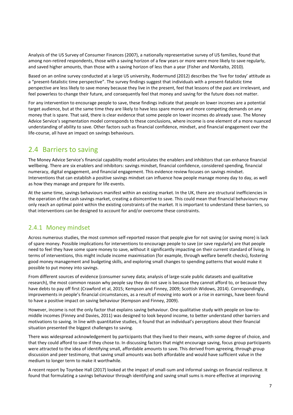Analysis of the US Survey of Consumer Finances (2007), a nationally representative survey of US families, found that among non-retired respondents, those with a saving horizon of a few years or more were more likely to save regularly, and saved higher amounts, than those with a saving horizon of less than a year (Fisher and Montalto, 2010).

Based on an online survey conducted at a large US university, Rodermund (2012) describes the 'live for today' attitude as a "present-fatalistic time perspective". The survey findings suggest that individuals with a present-fatalistic time perspective are less likely to save money because they live in the present, feel that lessons of the past are irrelevant, and feel powerless to change their future, and consequently feel that money and saving for the future does not matter.

For any intervention to encourage people to save, these findings indicate that people on lower incomes are a potential target audience, but at the same time they are likely to have less spare money and more competing demands on any money that is spare. That said, there is clear evidence that some people on lower incomes do already save. The Money Advice Service's segmentation model corresponds to these conclusions, where income is one element of a more nuanced understanding of ability to save. Other factors such as financial confidence, mindset, and financial engagement over the life-course, all have an impact on savings behaviours.

# 2.4 Barriers to saving

The Money Advice Service's financial capability model articulates the enablers and inhibitors that can enhance financial wellbeing. There are six enablers and inhibitors: savings mindset, financial confidence, considered spending, financial numeracy, digital engagement, and financial engagement. This evidence review focuses on savings mindset. Interventions that can establish a positive savings mindset can influence how people manage money day to day, as well as how they manage and prepare for life events.

At the same time, savings behaviours manifest within an existing market. In the UK, there are structural inefficiencies in the operation of the cash savings market, creating a disincentive to save. This could mean that financial behaviours may only reach an optimal point within the existing constraints of the market. It is important to understand these barriers, so that interventions can be designed to account for and/or overcome these constraints.

### 2.4.1 Money mindset

Across numerous studies, the most common self-reported reason that people give for not saving (or saving more) is lack of spare money. Possible implications for interventions to encourage people to save (or save regularly) are that people need to feel they have some spare money to save, without it significantly impacting on their current standard of living. In terms of interventions, this might include income maximisation (for example, through welfare benefit checks), fostering good money management and budgeting skills, and exploring small changes to spending patterns that would make it possible to put money into savings.

From different sources of evidence (consumer survey data; analysis of large-scale public datasets and qualitative research), the most common reason why people say they do not save is because they cannot afford to, or because they have debts to pay off first (Crawford et al, 2015; Kempson and Finney, 2009; Scottish Widows, 2014). Correspondingly, improvements in people's financial circumstances, as a result of moving into work or a rise in earnings, have been found to have a positive impact on saving behaviour (Kempson and Finney, 2009).

However, income is not the only factor that explains saving behaviour. One qualitative study with people on low-tomiddle incomes (Finney and Davies, 2011) was designed to look beyond income, to better understand other barriers and motivations to saving. In line with quantitative studies, it found that an individual's perceptions about their financial situation presented the biggest challenges to saving.

There was widespread acknowledgement by participants that they lived to their means, with some degree of choice, and that they could afford to save if they chose to. In discussing factors that might encourage saving, focus group participants were attracted to the idea of identifying small, affordable amounts to save. This derived from agreeing, through group discussion and peer testimony, that saving small amounts was both affordable and would have sufficient value in the medium to longer term to make it worthwhile.

A recent report by Toynbee Hall (2017) looked at the impact of small-sum and informal savings on financial resilience. It found that formulating a savings behaviour through identifying and saving small sums is more effective at improving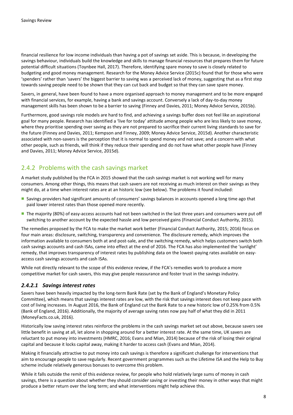financial resilience for low income individuals than having a pot of savings set aside. This is because, in developing the savings behaviour, individuals build the knowledge and skills to manage financial resources that prepares them for future potential difficult situations (Toynbee Hall, 2017). Therefore, identifying spare money to save is closely related to budgeting and good money management. Research for the Money Advice Service (2015c) found that for those who were 'spenders' rather than 'savers' the biggest barrier to saving was a perceived lack of money, suggesting that as a first step towards saving people need to be shown that they can cut back and budget so that they can save spare money.

Savers, in general, have been found to have a more organised approach to money management and to be more engaged with financial services, for example, having a bank and savings account. Conversely a lack of day-to-day money management skills has been shown to be a barrier to saving (Finney and Davies, 2011; Money Advice Service, 2015b).

Furthermore, good savings role models are hard to find, and achieving a savings buffer does not feel like an aspirational goal for many people. Research has identified a 'live for today' attitude among people who are less likely to save money, where they prioritise spending over saving as they are not prepared to sacrifice their current living standards to save for the future (Finney and Davies, 2011; Kempson and Finney, 2009; Money Advice Service, 2015d). Another characteristic associated with non-savers is the perception that it is normal to spend money and not save; and a concern with what other people, such as friends, will think if they reduce their spending and do not have what other people have (Finney and Davies, 2011; Money Advice Service, 2015d).

### 2.4.2 Problems with the cash savings market

A market study published by the FCA in 2015 showed that the cash savings market is not working well for many consumers. Among other things, this means that cash savers are not receiving as much interest on their savings as they might do, at a time when interest rates are at an historic low (see below). The problems it found included:

- **Savings providers had significant amounts of consumers' savings balances in accounts opened a long time ago that** paid lower interest rates than those opened more recently.
- The majority (80%) of easy-access accounts had not been switched in the last three years and consumers were put off switching to another account by the expected hassle and low perceived gains (Financial Conduct Authority, 2015).

The remedies proposed by the FCA to make the market work better (Financial Conduct Authority, 2015; 2016) focus on four main areas: disclosure, switching, transparency and convenience. The disclosure remedy, which improves the information available to consumers both at and post-sale, and the switching remedy, which helps customers switch both cash savings accounts and cash ISAs, came into effect at the end of 2016. The FCA has also implemented the 'sunlight' remedy, that improves transparency of interest rates by publishing data on the lowest-paying rates available on easyaccess cash savings accounts and cash ISAs.

While not directly relevant to the scope of this evidence review, if the FCA's remedies work to produce a more competitive market for cash savers, this may give people reassurance and foster trust in the savings industry.

### *2.4.2.1 Savings interest rates*

Savers have been heavily impacted by the long-term Bank Rate (set by the Bank of England's Monetary Policy Committee), which means that savings interest rates are low, with the risk that savings interest does not keep pace with cost of living increases. In August 2016, the Bank of England cut the Bank Rate to a new historic low of 0.25% from 0.5% (Bank of England, 2016). Additionally, the majority of average saving rates now pay half of what they did in 2011 (MoneyFacts.co.uk, 2016).

Historically low saving interest rates reinforce the problems in the cash savings market set out above, because savers see little benefit in saving at all, let alone in shopping around for a better interest rate. At the same time, UK savers are reluctant to put money into investments (HMRC, 2016; Evans and Mian, 2014) because of the risk of losing their original capital and because it locks capital away, making it harder to access cash (Evans and Mian, 2014).

Making it financially attractive to put money into cash savings is therefore a significant challenge for interventions that aim to encourage people to save regularly. Recent government programmes such as the Lifetime ISA and the Help to Buy scheme include relatively generous bonuses to overcome this problem.

While it falls outside the remit of this evidence review, for people who hold relatively large sums of money in cash savings, there is a question about whether they should consider saving or investing their money in other ways that might produce a better return over the long term; and what interventions might help achieve this.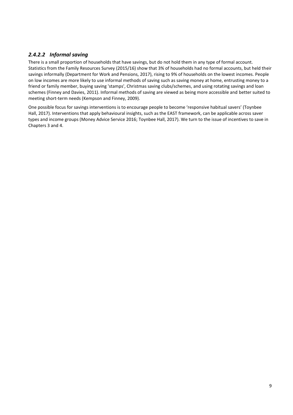### *2.4.2.2 Informal saving*

There is a small proportion of households that have savings, but do not hold them in any type of formal account. Statistics from the Family Resources Survey (2015/16) show that 3% of households had no formal accounts, but held their savings informally (Department for Work and Pensions, 2017), rising to 9% of households on the lowest incomes. People on low incomes are more likely to use informal methods of saving such as saving money at home, entrusting money to a friend or family member, buying saving 'stamps', Christmas saving clubs/schemes, and using rotating savings and loan schemes (Finney and Davies, 2011). Informal methods of saving are viewed as being more accessible and better suited to meeting short-term needs (Kempson and Finney, 2009).

One possible focus for savings interventions is to encourage people to become 'responsive habitual savers' (Toynbee Hall, 2017). Interventions that apply behavioural insights, such as the EAST framework, can be applicable across saver types and income groups (Money Advice Service 2016; Toynbee Hall, 2017). We turn to the issue of incentives to save in Chapters 3 and 4.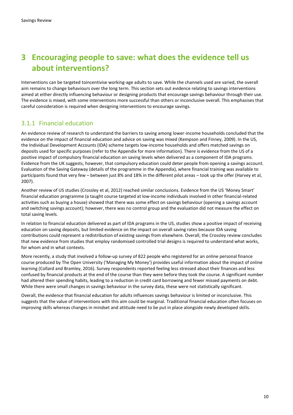# **3 Encouraging people to save: what does the evidence tell us about interventions?**

Interventions can be targeted toincentivise working-age adults to save. While the channels used are varied, the overall aim remains to change behaviours over the long term. This section sets out evidence relating to savings interventions aimed at either directly influencing behaviour or designing products that encourage savings behaviour through their use. The evidence is mixed, with some interventions more successful than others or inconclusive overall. This emphasises that careful consideration is required when designing interventions to encourage savings.

## 3.1.1 Financial education

An evidence review of research to understand the barriers to saving among lower-income households concluded that the evidence on the impact of financial education and advice on saving was mixed (Kempson and Finney, 2009). In the US, the Individual Development Accounts (IDA) scheme targets low-income households and offers matched savings on deposits used for specific purposes (refer to the Appendix for more information). There is evidence from the US of a positive impact of compulsory financial education on saving levels when delivered as a component of IDA programs. Evidence from the UK suggests, however, that compulsory education could deter people from opening a savings account. Evaluation of the Saving Gateway (details of the programme in the Appendix), where financial training was available to participants found that very few – between just 8% and 18% in the different pilot areas – took up the offer (Harvey et al, 2007).

Another review of US studies (Crossley et al, 2012) reached similar conclusions. Evidence from the US 'Money Smart' financial education programme (a taught course targeted at low-income individuals involved in other financial-related activities such as buying a house) showed that there was some effect on savings behaviour (opening a savings account and switching savings account); however, there was no control group and the evaluation did not measure the effect on total saving levels.

In relation to financial education delivered as part of IDA programs in the US, studies show a positive impact of receiving education on saving deposits, but limited evidence on the impact on overall saving rates because IDA saving contributions could represent a redistribution of existing savings from elsewhere. Overall, the Crossley review concludes that new evidence from studies that employ randomised controlled trial designs is required to understand what works, for whom and in what contexts.

More recently, a study that involved a follow-up survey of 822 people who registered for an online personal finance course produced by The Open University ('Managing My Money') provides useful information about the impact of online learning (Collard and Bramley, 2016). Survey respondents reported feeling less stressed about their finances and less confused by financial products at the end of the course than they were before they took the course. A significant number had altered their spending habits, leading to a reduction in credit card borrowing and fewer missed payments on debt. While there were small changes in savings behaviour in the survey data, these were not statistically significant.

Overall, the evidence that financial education for adults influences savings behaviour is limited or inconclusive. This suggests that the value of interventions with this aim could be marginal. Traditional financial education often focuses on improving skills whereas changes in mindset and attitude need to be put in place alongside newly developed skills.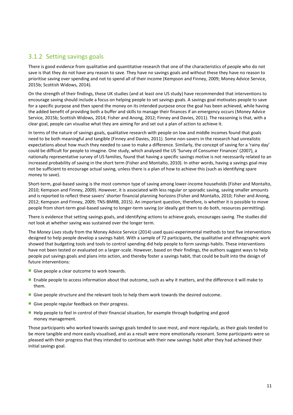### 3.1.2 Setting savings goals

There is good evidence from qualitative and quantitative research that one of the characteristics of people who do not save is that they do not have any reason to save. They have no savings goals and without these they have no reason to prioritise saving over spending and not to spend all of their income (Kempson and Finney, 2009; Money Advice Service, 2015b; Scottish Widows, 2014).

On the strength of their findings, these UK studies (and at least one US study) have recommended that interventions to encourage saving should include a focus on helping people to set savings goals. A savings goal motivates people to save for a specific purpose and then spend the money on its intended purpose once the goal has been achieved, while having the added benefit of providing both a buffer and skills to manage their finances if an emergency occurs (Money Advice Service, 2015b; Scottish Widows, 2014; Fisher and Anong, 2012; Finney and Davies, 2011). The reasoning is that, with a clear goal, people can visualise what they are aiming for and set out a plan of action to achieve it.

In terms of the nature of savings goals, qualitative research with people on low and middle incomes found that goals need to be both meaningful and tangible (Finney and Davies, 2011). Some non-savers in the research had unrealistic expectations about how much they needed to save to make a difference. Similarly, the concept of saving for a 'rainy day' could be difficult for people to imagine. One study, which analysed the US 'Survey of Consumer Finances' (2007), a nationally representative survey of US families, found that having a specific savings motive is not necessarily related to an increased probability of saving in the short term (Fisher and Montalto, 2010). In other words, having a savings goal may not be sufficient to encourage actual saving, unless there is a plan of how to achieve this (such as identifying spare money to save).

Short-term, goal-based saving is the most common type of saving among lower-income households (Fisher and Montalto, 2010; Kempson and Finney, 2009). However, it is associated with less regular or sporadic saving, saving smaller amounts and is reported to reflect these savers' shorter financial planning horizons (Fisher and Montalto, 2010; Fisher and Anong, 2012; Kempson and Finney, 2009; TNS-BMRB, 2015). An important question, therefore, is whether it is possible to move people from short-term goal-based saving to longer-term saving (or ideally get them to do both, resources permitting).

There is evidence that setting savings goals, and identifying actions to achieve goals, encourages saving. The studies did not look at whether saving was sustained over the longer term.

The *Money Lives* study from the Money Advice Service (2014) used quasi-experimental methods to test five interventions designed to help people develop a savings habit. With a sample of 72 participants, the qualitative and ethnographic work showed that budgeting tools and tools to control spending did help people to form savings habits. These interventions have not been tested or evaluated on a larger-scale. However, based on their findings, the authors suggest ways to help people put savings goals and plans into action, and thereby foster a savings habit, that could be built into the design of future interventions:

- Give people a clear outcome to work towards.
- **Enable people to access information about that outcome, such as why it matters, and the difference it will make to** them.
- Give people structure and the relevant tools to help them work towards the desired outcome.
- Give people regular feedback on their progress.
- Help people to feel in control of their financial situation, for example through budgeting and good money management.

Those participants who worked towards savings goals tended to save most, and more regularly, as their goals tended to be more tangible and more easily visualised, and as a result were more emotionally resonant. Some participants were so pleased with their progress that they intended to continue with their new savings habit after they had achieved their initial savings goal.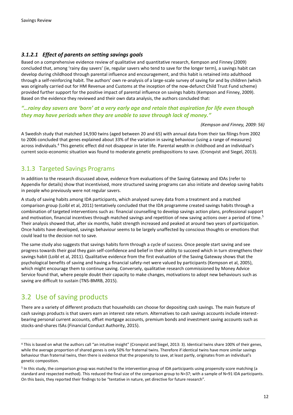### *3.1.2.1 Effect of parents on setting savings goals*

Based on a comprehensive evidence review of qualitative and quantitative research, Kempson and Finney (2009) concluded that, among 'rainy day savers' (ie, regular savers who tend to save for the longer term), a savings habit can develop during childhood through parental influence and encouragement, and this habit is retained into adulthood through a self-reinforcing habit. The authors' own re-analysis of a large-scale survey of saving for and by children (which was originally carried out for HM Revenue and Customs at the inception of the now-defunct Child Trust Fund scheme) provided further support for the positive impact of parental influence on savings habits (Kempson and Finney, 2009). Based on the evidence they reviewed and their own data analysis, the authors concluded that:

### *"…rainy day savers are 'born' at a very early age and retain that aspiration for life even though they may have periods when they are unable to save through lack of money."*

#### *(Kempson and Finney, 2009: 56)*

A Swedish study that matched 14,930 twins (aged between 20 and 65) with annual data from their tax filings from 2002 to 2006 concluded that genes explained about 33% of the variation in saving behaviour (using a range of measures) across individuals.<sup>4</sup> This genetic effect did not disappear in later life. Parental wealth in childhood and an individual's current socio-economic situation was found to moderate genetic predispositions to save. (Cronqvist and Siegel, 2013).

### 3.1.3 Targeted Savings Programs

In addition to the research discussed above, evidence from evaluations of the Saving Gateway and IDAs (refer to Appendix for details) show that incentivised, more structured saving programs can also initiate and develop saving habits in people who previously were not regular savers.

A study of saving habits among IDA participants, which analysed survey data from a treatment and a matched comparison group (Loibl et al, 2011) tentatively concluded that the IDA programme created savings habits through a combination of targeted interventions such as: financial counselling to develop savings action plans, professional support and motivation, financial incentives through matched savings and repetition of new saving actions over a period of time.<sup>5</sup> Their analysis showed that, after six months, habit strength increased and peaked at around two years of participation. Once habits have developed, savings behaviour seems to be largely unaffected by conscious thoughts or emotions that could lead to the decision not to save.

The same study also suggests that savings habits form through a cycle of success. Once people start saving and see progress towards their goal they gain self-confidence and belief in their ability to succeed which in turn strengthens their savings habit (Loibl et al, 2011). Qualitative evidence from the first evaluation of the Saving Gateway shows that the psychological benefits of saving and having a financial safety-net were valued by participants (Kempson et al, 2005), which might encourage them to continue saving. Conversely, qualitative research commissioned by Money Advice Service found that, where people doubt their capacity to make changes, motivations to adopt new behaviours such as saving are difficult to sustain (TNS-BMRB, 2015).

# 3.2 Use of saving products

There are a variety of different products that households can choose for depositing cash savings. The main feature of cash savings products is that savers earn an interest rate return. Alternatives to cash savings accounts include interestbearing personal current accounts, offset mortgage accounts, premium bonds and investment saving accounts such as stocks-and-shares ISAs (Financial Conduct Authority, 2015).

<sup>&</sup>lt;sup>4</sup> This is based on what the authors call "an intuitive insight" (Cronqvist and Siegel, 2013: 3). Identical twins share 100% of their genes, while the average proportion of shared genes is only 50% for fraternal twins. Therefore if identical twins have more similar savings behaviour than fraternal twins, then there is evidence that the propensity to save, at least partly, originates from an individual's genetic composition.

<sup>&</sup>lt;sup>5</sup> In this study, the comparison group was matched to the intervention group of IDA participants using propensity score matching (a standard and respected method). This reduced the final size of the comparison group to N=37; with a sample of N=91 IDA participants. On this basis, they reported their findings to be "tentative in nature, yet directive for future research"*.*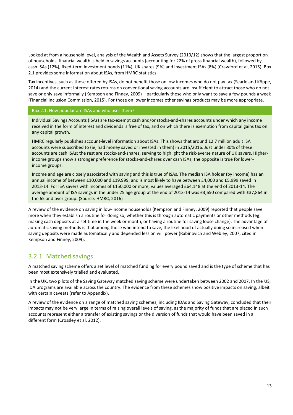Looked at from a household level, analysis of the Wealth and Assets Survey (2010/12) shows that the largest proportion of households' financial wealth is held in savings accounts (accounting for 22% of gross financial wealth), followed by cash ISAs (12%), fixed-term investment bonds (11%), UK shares (9%) and investment ISAs (8%) (Crawford et al, 2015). Box 2.1 provides some information about ISAs, from HMRC statistics.

Tax incentives, such as those offered by ISAs, do not benefit those on low incomes who do not pay tax (Searle and Köppe, 2014) and the current interest rates returns on conventional saving accounts are insufficient to attract those who do not save or only save informally (Kempson and Finney, 2009) – particularly those who only want to save a few pounds a week (Financial Inclusion Commission, 2015). For those on lower incomes other savings products may be more appropriate.

#### Box 2.1: How popular are ISAs and who uses them?

Individual Savings Accounts (ISAs) are tax-exempt cash and/or stocks-and-shares accounts under which any income received in the form of interest and dividends is free of tax, and on which there is exemption from capital gains tax on any capital growth.

HMRC regularly publishes account-level information about ISAs. This shows that around 12.7 million adult ISA accounts were subscribed to (ie, had money saved or invested in them) in 2015/2016. Just under 80% of these accounts are cash ISAs; the rest are stocks-and-shares, serving to highlight the risk-averse nature of UK savers. Higherincome groups show a stronger preference for stocks-and-shares over cash ISAs; the opposite is true for lowerincome groups.

Income and age are closely associated with saving and this is true of ISAs. The median ISA holder (by income) has an annual income of between £10,000 and £19,999, and is most likely to have between £4,000 and £5,999 saved in 2013-14. For ISA savers with incomes of £150,000 or more, values averaged £64,148 at the end of 2013-14. The average amount of ISA savings in the under 25 age group at the end of 2013-14 was £3,650 compared with £37,864 in the 65 and over group. (Source: HMRC, 2016)

A review of the evidence on saving in low-income households (Kempson and Finney, 2009) reported that people save more when they establish a routine for doing so, whether this is through automatic payments or other methods (eg, making cash deposits at a set time in the week or month, or having a routine for saving loose change). The advantage of automatic saving methods is that among those who intend to save, the likelihood of actually doing so increased when saving deposits were made automatically and depended less on will power (Rabinovich and Webley, 2007, cited in Kempson and Finney, 2009).

### 3.2.1 Matched savings

A matched saving scheme offers a set level of matched funding for every pound saved and is the type of scheme that has been most extensively trialled and evaluated.

In the UK, two pilots of the Saving Gateway matched saving scheme were undertaken between 2002 and 2007. In the US, IDA programs are available across the country. The evidence from these schemes show positive impacts on saving, albeit with certain caveats (refer to Appendix).

A review of the evidence on a range of matched saving schemes, including IDAs and Saving Gateway, concluded that their impacts may not be very large in terms of raising overall levels of saving, as the majority of funds that are placed in such accounts represent either a transfer of existing savings or the diversion of funds that would have been saved in a different form (Crossley et al, 2012).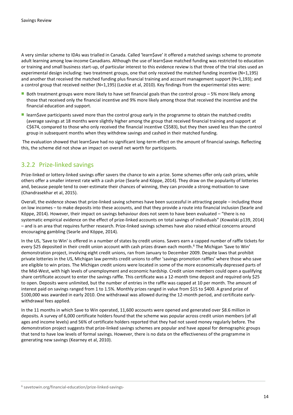A very similar scheme to IDAs was trialled in Canada. Called 'learn\$ave' it offered a matched savings scheme to promote adult learning among low-income Canadians. Although the use of learn\$ave matched funding was restricted to education or training and small business start-up, of particular interest to this evidence review is that three of the trial sites used an experimental design including: two treatment groups, one that only received the matched funding incentive (N=1,195) and another that received the matched funding plus financial training and account management support (N=1,193); and a control group that received neither (N=1,195) (Leckie et al, 2010). Key findings from the experimental sites were:

- Both treatment groups were more likely to have set financial goals than the control group  $-5%$  more likely among those that received only the financial incentive and 9% more likely among those that received the incentive and the financial education and support.
- **IDED** learn\$ave participants saved more than the control group early in the programme to obtain the matched credits (average savings at 18 months were slightly higher among the group that received financial training and support at C\$674, compared to those who only received the financial incentive C\$583), but they then saved less than the control group in subsequent months when they withdrew savings and cashed in their matched funding.

The evaluation showed that learn\$ave had no significant long-term effect on the amount of financial savings. Reflecting this, the scheme did not show an impact on overall net worth for participants.

### 3.2.2 Prize-linked savings

Prize-linked or lottery-linked savings offer savers the chance to win a prize. Some schemes offer only cash prizes, while others offer a smaller interest rate with a cash prize (Searle and Köppe, 2014). They draw on the popularity of lotteries and, because people tend to over-estimate their chances of winning, they can provide a strong motivation to save (Chandrasekhar et al, 2015).

Overall, the evidence shows that prize-linked saving schemes have been successful in attracting people – including those on low incomes – to make deposits into these accounts, and that they provide a route into financial inclusion (Searle and Köppe, 2014). However, their impact on savings behaviour does not seem to have been evaluated – "there is no systematic empirical evidence on the effect of prize-linked accounts on total savings of individuals" (Kowalski p139, 2014) – and is an area that requires further research. Prize-linked savings schemes have also raised ethical concerns around encouraging gambling (Searle and Köppe, 2014).

In the US, 'Save to Win' is offered in a number of states by credit unions. Savers earn a capped number of raffle tickets for every \$25 deposited in their credit union account with cash prizes drawn each month. <sup>6</sup> The Michigan 'Save to Win' demonstration project, involving eight credit unions, ran from January to December 2009. Despite laws that prohibit private lotteries in the US, Michigan law permits credit unions to offer 'savings promotion raffles' where those who save are eligible to win prizes. The Michigan credit unions were located in some of the more economically depressed parts of the Mid-West, with high levels of unemployment and economic hardship. Credit union members could open a qualifying share certificate account to enter the savings raffle. This certificate was a 12-month time deposit and required only \$25 to open. Deposits were unlimited, but the number of entries in the raffle was capped at 10 per month. The amount of interest paid on savings ranged from 1 to 1.5%. Monthly prizes ranged in value from \$15 to \$400. A grand prize of \$100,000 was awarded in early 2010. One withdrawal was allowed during the 12-month period, and certificate earlywithdrawal fees applied.

In the 11 months in which Save to Win operated, 11,600 accounts were opened and generated over \$8.6 million in deposits. A survey of 6,000 certificate holders found that the scheme was popular across credit union members (of all ages and income levels) and 56% of certificate holders reported that they had not saved money regularly before. The demonstration project suggests that prize-linked savings schemes are popular and have appeal for demographic groups that tend to have low levels of formal savings. However, there is no data on the effectiveness of the programme in generating new savings (Kearney et al, 2010).

<sup>6</sup> savetowin.org/financial-education/prize-linked-savings-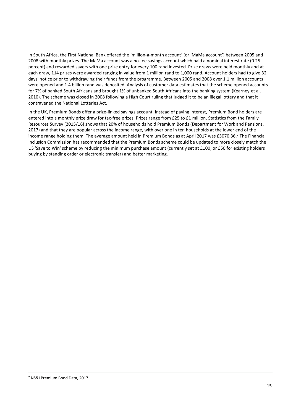In South Africa, the First National Bank offered the 'million-a-month account' (or 'MaMa account') between 2005 and 2008 with monthly prizes. The MaMa account was a no-fee savings account which paid a nominal interest rate (0.25 percent) and rewarded savers with one prize entry for every 100 rand invested. Prize draws were held monthly and at each draw, 114 prizes were awarded ranging in value from 1 million rand to 1,000 rand. Account holders had to give 32 days' notice prior to withdrawing their funds from the programme. Between 2005 and 2008 over 1.1 million accounts were opened and 1.4 billion rand was deposited. Analysis of customer data estimates that the scheme opened accounts for 7% of banked South Africans and brought 1% of unbanked South Africans into the banking system (Kearney et al, 2010). The scheme was closed in 2008 following a High Court ruling that judged it to be an illegal lottery and that it contravened the National Lotteries Act.

In the UK, Premium Bonds offer a prize-linked savings account. Instead of paying interest, Premium Bond holders are entered into a monthly prize draw for tax-free prizes. Prizes range from £25 to £1 million. Statistics from the Family Resources Survey (2015/16) shows that 20% of households hold Premium Bonds (Department for Work and Pensions, 2017) and that they are popular across the income range, with over one in ten households at the lower end of the income range holding them. The average amount held in Premium Bonds as at April 2017 was £3070.36. <sup>7</sup> The Financial Inclusion Commission has recommended that the Premium Bonds scheme could be updated to more closely match the US 'Save to Win' scheme by reducing the minimum purchase amount (currently set at £100, or £50 for existing holders buying by standing order or electronic transfer) and better marketing.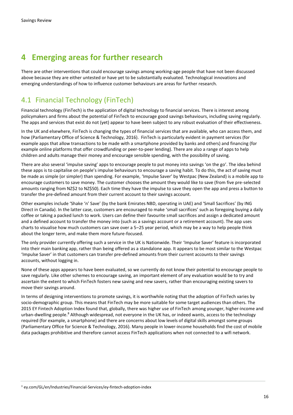# **4 Emerging areas for further research**

There are other interventions that could encourage savings among working-age people that have not been discussed above because they are either untested or have yet to be substantially evaluated. Technological innovations and emerging understandings of how to influence customer behaviours are areas for further research.

# 4.1 Financial Technology (FinTech)

Financial technology (FinTech) is the application of digital technology to financial services. There is interest among policymakers and firms about the potential of FinTech to encourage good savings behaviours, including saving regularly. The apps and services that exist do not (yet) appear to have been subject to any robust evaluation of their effectiveness.

In the UK and elsewhere, FinTech is changing the types of financial services that are available, who can access them, and how (Parliamentary Office of Science & Technology, 2016). FinTech is particularly evident in payment services (for example apps that allow transactions to be made with a smartphone provided by banks and others) and financing (for example online platforms that offer crowdfunding or peer-to-peer lending). There are also a range of apps to help children and adults manage their money and encourage sensible spending, with the possibility of saving.

There are also several 'impulse saving' apps to encourage people to put money into savings 'on the go'. The idea behind these apps is to capitalise on people's impulse behaviours to encourage a saving habit. To do this, the act of saving must be made as simple (or simpler) than spending. For example, 'Impulse Saver' by Westpac (New Zealand) is a mobile app to encourage customers to save money. The customer chooses the amount they would like to save (from five pre-selected amounts ranging from NZ\$2 to NZ\$50). Each time they have the impulse to save they open the app and press a button to transfer the pre-defined amount from their current account to their savings account.

Other examples include 'Shake 'n' Save' (by the bank Emirates NBD, operating in UAE) and 'Small Sacrifices' (by ING Direct in Canada). In the latter case, customers are encouraged to make 'small sacrifices' such as foregoing buying a daily coffee or taking a packed lunch to work. Users can define their favourite small sacrifices and assign a dedicated amount and a defined account to transfer the money into (such as a savings account or a retirement account). The app uses charts to visualise how much customers can save over a 5–25 year period, which may be a way to help people think about the longer term, and make them more future-focused.

The only provider currently offering such a service in the UK is Nationwide. Their 'Impulse Saver' feature is incorporated into their main banking app, rather than being offered as a standalone app. It appears to be most similar to the Westpac 'Impulse Saver' in that customers can transfer pre-defined amounts from their current accounts to their savings accounts, without logging in.

None of these apps appears to have been evaluated, so we currently do not know their potential to encourage people to save regularly. Like other schemes to encourage saving, an important element of any evaluation would be to try and ascertain the extent to which FinTech fosters new saving and new savers, rather than encouraging existing savers to move their savings around.

In terms of designing interventions to promote savings, it is worthwhile noting that the adoption of FinTech varies by socio-demographic group. This means that FinTech may be more suitable for some target audiences than others. The 2015 EY Fintech Adoption Index found that, globally, there was higher use of FinTech among younger, higher-income and urban-dwelling people.<sup>8</sup> Although widespread, not everyone in the UK has, or indeed wants, access to the technology required (for example, a smartphone) and there are concerns about low levels of digital skills amongst some groups (Parliamentary Office for Science & Technology, 2016). Many people in lower-income households find the cost of mobile data packages prohibitive and therefore cannot access FinTech applications when not connected to a wifi network.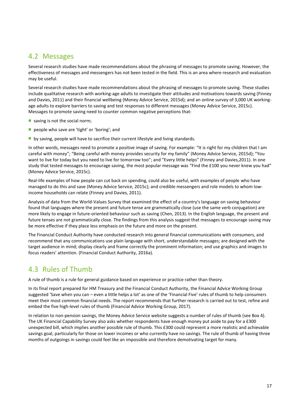# 4.2 Messages

Several research studies have made recommendations about the phrasing of messages to promote saving. However, the effectiveness of messages and messengers has not been tested in the field. This is an area where research and evaluation may be useful.

Several research studies have made recommendations about the phrasing of messages to promote saving. These studies include qualitative research with working-age adults to investigate their attitudes and motivations towards saving (Finney and Davies, 2011) and their financial wellbeing (Money Advice Service, 2015d); and an online survey of 3,000 UK workingage adults to explore barriers to saving and test responses to different messages (Money Advice Service, 2015c). Messages to promote saving need to counter common negative perceptions that:

- saving is not the social norm;
- people who save are 'tight' or 'boring'; and
- by saving, people will have to sacrifice their current lifestyle and living standards.

In other words, messages need to promote a positive image of saving. For example: "It is right for my children that I am careful with money"; "Being careful with money provides security for my family" (Money Advice Service, 2015d); "You want to live for today but you need to live for tomorrow too"; and "Every little helps" (Finney and Davies,2011). In one study that tested messages to encourage saving, the most popular message was "Find the £100 you never knew you had" (Money Advice Service, 2015c).

Real-life examples of how people can cut back on spending, could also be useful, with examples of people who have managed to do this and save (Money Advice Service, 2015c); and credible messengers and role models to whom lowincome households can relate (Finney and Davies, 2011).

Analysis of data from the World-Values Survey that examined the effect of a country's language on saving behaviour found that languages where the present and future tense are grammatically close (use the same verb conjugation) are more likely to engage in future-oriented behaviour such as saving (Chen, 2013). In the English language, the present and future tenses are not grammatically close. The findings from this analysis suggest that messages to encourage saving may be more effective if they place less emphasis on the future and more on the present.

The Financial Conduct Authority have conducted research into general financial communications with consumers, and recommend that any communications use plain language with short, understandable messages; are designed with the target audience in mind; display clearly and frame correctly the prominent information; and use graphics and images to focus readers' attention. (Financial Conduct Authority, 2016a).

# 4.3 Rules of Thumb

A rule of thumb is a rule for general guidance based on experience or practice rather than theory.

In its final report prepared for HM Treasury and the Financial Conduct Authority, the Financial Advice Working Group suggested 'Save when you can – even a little helps a lot' as one of the 'Financial Five' rules of thumb to help consumers meet their most common financial needs. The report recommends that further research is carried out to test, refine and embed the five high-level rules of thumb (Financial Advice Working Group, 2017).

In relation to non-pension savings, the Money Advice Service website suggests a number of rules of thumb (see Box 4). The UK Financial Capability Survey also asks whether respondents have enough money put aside to pay for a £300 unexpected bill, which implies another possible rule of thumb. This £300 could represent a more realistic and achievable savings goal, particularly for those on lower incomes or who currently have no savings. The rule of thumb of having three months of outgoings in savings could feel like an impossible and therefore demotivating target for many.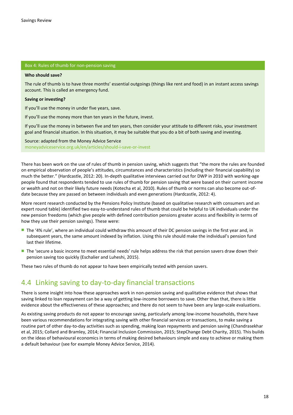#### Box 4: Rules of thumb for non-pension saving

#### **Who should save?**

The rule of thumb is to have three months' essential outgoings (things like rent and food) in an instant access savings account. This is called an emergency fund.

#### **Saving or investing?**

If you'll use the money in under five years, save.

If you'll use the money more than ten years in the future, invest.

If you'll use the money in between five and ten years, then consider your attitude to different risks, your investment goal and financial situation. In this situation, it may be suitable that you do a bit of both saving and investing.

Source: adapted from the Money Advice Service moneyadviceservice.org.uk/en/articles/should-i-save-or-invest

There has been work on the use of rules of thumb in pension saving, which suggests that "the more the rules are founded on empirical observation of people's attitudes, circumstances and characteristics (including their financial capability) so much the better." (Hardcastle, 2012: 20). In-depth qualitative interviews carried out for DWP in 2010 with working-age people found that respondents tended to use rules of thumb for pension saving that were based on their current income or wealth and not on their likely future needs (Kotecha et al, 2010). Rules of thumb or norms can also become out-ofdate because they are passed on between individuals and even generations (Hardcastle, 2012: 4).

More recent research conducted by the Pensions Policy Institute (based on qualitative research with consumers and an expert round table) identified two easy-to-understand rules of thumb that could be helpful to UK individuals under the new pension freedoms (which give people with defined contribution pensions greater access and flexibility in terms of how they use their pension savings). These were:

- The '4% rule', where an individual could withdraw this amount of their DC pension savings in the first year and, in subsequent years, the same amount indexed by inflation. Using this rule should make the individual's pension fund last their lifetime.
- The 'secure a basic income to meet essential needs' rule helps address the risk that pension savers draw down their pension saving too quickly (Eschalier and Luheshi, 2015).

These two rules of thumb do not appear to have been empirically tested with pension savers.

# 4.4 Linking saving to day-to-day financial transactions

There is some insight into how these approaches work in non-pension saving and qualitative evidence that shows that saving linked to loan repayment can be a way of getting low-income borrowers to save. Other than that, there is little evidence about the effectiveness of these approaches; and there do not seem to have been any large-scale evaluations.

As existing saving products do not appear to encourage saving, particularly among low-income households, there have been various recommendations for integrating saving with other financial services or transactions, to make saving a routine part of other day-to-day activities such as spending, making loan repayments and pension saving (Chandrasekhar et al, 2015; Collard and Bramley, 2014; Financial Inclusion Commission, 2015; StepChange Debt Charity, 2015). This builds on the ideas of behavioural economics in terms of making desired behaviours simple and easy to achieve or making them a default behaviour (see for example Money Advice Service, 2014).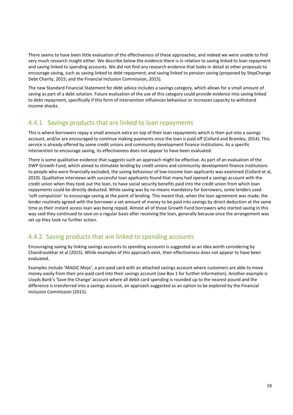There seems to have been little evaluation of the effectiveness of these approaches, and indeed we were unable to find very much research insight either. We describe below the evidence there is in relation to saving linked to loan repayment and saving linked to spending accounts. We did not find any research evidence that looks in detail at other proposals to encourage saving, such as saving linked to debt repayment; and saving linked to pension saving (proposed by StepChange Debt Charity, 2015; and the Financial Inclusion Commission, 2015).

The new Standard Financial Statement for debt advice includes a savings category, which allows for a small amount of saving as part of a debt solution. Future evaluation of the use of this category could provide evidence into saving linked to debt repayment, specifically if this form of intervention influences behaviour or increases capacity to withstand income shocks.

### 4.4.1 Savings products that are linked to loan repayments

This is where borrowers repay a small amount extra on top of their loan repayments which is then put into a savings account, and/or are encouraged to continue making payments once the loan is paid off (Collard and Bramley, 2014). This service is already offered by some credit unions and community development finance institutions. As a specific intervention to encourage saving, its effectiveness does not appear to have been evaluated.

There is some qualitative evidence that suggests such an approach might be effective. As part of an evaluation of the DWP Growth Fund, which aimed to stimulate lending by credit unions and community development finance institutions to people who were financially excluded, the saving behaviour of low-income loan applicants was examined (Collard et al, 2010). Qualitative interviews with successful loan applicants found that many had opened a savings account with the credit union when they took out the loan, to have social security benefits paid into the credit union from which loan repayments could be directly deducted. While saving was by no means mandatory for borrowers, some lenders used 'soft compulsion' to encourage saving at the point of lending. This meant that, when the loan agreement was made, the lender routinely agreed with the borrower a set amount of money to be paid into savings by direct deduction at the same time as their instant access loan was being repaid. Almost all of those Growth Fund borrowers who started saving in this way said they continued to save on a regular basis after receiving the loan, generally because once the arrangement was set up they took no further action.

## 4.4.2 Saving products that are linked to spending accounts

Encouraging saving by linking savings accounts to spending accounts is suggested as an idea worth considering by Chandrasekhar et al (2015). While examples of this approach exist, their effectiveness does not appear to have been evaluated.

Examples include 'MAGIC Mojo', a pre-paid card with an attached savings account where customers are able to move money easily from their pre-paid card into their savings account (see Box 1 for further information). Another example is Lloyds Bank's 'Save the Change' account where all debit card spending is rounded up to the nearest pound and the difference is transferred into a savings account, an approach suggested as an option to be explored by the Financial Inclusion Commission (2015).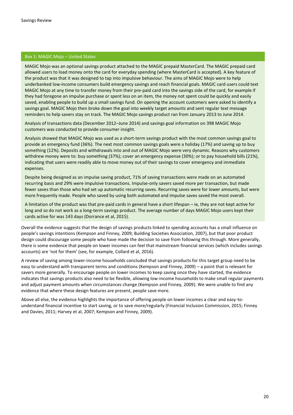### Box 1: MAGIC Mojo – United States

MAGIC Mojo was an optional savings product attached to the MAGIC prepaid MasterCard. The MAGIC prepaid card allowed users to load money onto the card for everyday spending (where MasterCard is accepted). A key feature of the product was that it was designed to tap into impulsive behaviour. The aims of MAGIC Mojo were to help underbanked low-income consumers build emergency savings and reach financial goals. MAGIC card users could text MAGIC Mojo at any time to transfer money from their pre-paid card into the savings side of the card, for example if they had foregone an impulse purchase or spent less on an item, the money not spent could be quickly and easily saved, enabling people to build up a small savings fund. On opening the account customers were asked to identify a savings goal. MAGIC Mojo then broke down the goal into weekly target amounts and sent regular text message reminders to help savers stay on track. The MAGIC Mojo savings product ran from January 2013 to June 2014.

Analysis of transactions data (December 2012–June 2014) and savings goal information on 398 MAGIC Mojo customers was conducted to provide consumer insight.

Analysis showed that MAGIC Mojo was used as a short-term savings product with the most common savings goal to provide an emergency fund (36%). The next most common savings goals were a holiday (17%) and saving up to buy something (12%). Deposits and withdrawals into and out of MAGIC Mojo were very dynamic. Reasons why customers withdrew money were to: buy something (37%); cover an emergency expense (30%); or to pay household bills (21%), indicating that users were readily able to move money out of their savings to cover emergency and immediate expenses.

Despite being designed as an impulse saving product, 71% of saving transactions were made on an automated recurring basis and 29% were impulsive transactions. Impulse-only savers saved more per transaction, but made fewer saves than those who had set up automatic recurring saves. Recurring saves were for lower amounts, but were more frequently made. People who saved by using both automated and impulse saves saved the most overall.

A limitation of the product was that pre-paid cards in general have a short lifespan – ie, they are not kept active for long and so do not work as a long-term savings product. The average number of days MAGIC Mojo users kept their cards active for was 143 days (Dorrance et al, 2015).

Overall the evidence suggests that the design of savings products linked to spending accounts has a small influence on people's savings intentions (Kempson and Finney, 2009; Building Societies Association, 2007), but that poor product design could discourage some people who have made the decision to save from following this through. More generally, there is some evidence that people on lower incomes can feel that mainstream financial services (which includes savings accounts) are 'not for them' (see, for example, Collard et al, 2016).

A review of saving among lower-income households concluded that savings products for this target group need to be easy to understand with transparent terms and conditions (Kempson and Finney, 2009) – a point that is relevant for savers more generally. To encourage people on lower incomes to keep saving once they have started, the evidence indicates that savings products also need to be flexible, allowing low-income households to make small regular payments and adjust payment amounts when circumstances change (Kempson and Finney, 2009). We were unable to find any evidence that where these design features are present, people save more.

Above all else, the evidence highlights the importance of offering people on lower incomes a clear and easy-tounderstand financial incentive to start saving, or to save more/regularly (Financial Inclusion Commission, 2015; Finney and Davies, 2011; Harvey et al, 2007; Kempson and Finney, 2009).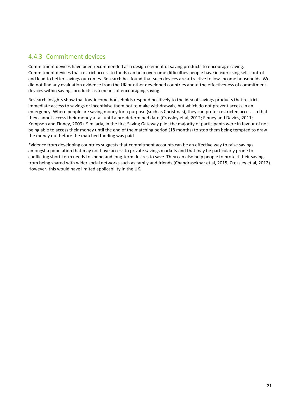# 4.4.3 Commitment devices

Commitment devices have been recommended as a design element of saving products to encourage saving. Commitment devices that restrict access to funds can help overcome difficulties people have in exercising self-control and lead to better savings outcomes. Research has found that such devices are attractive to low-income households. We did not find any evaluation evidence from the UK or other developed countries about the effectiveness of commitment devices within savings products as a means of encouraging saving.

Research insights show that low-income households respond positively to the idea of savings products that restrict immediate access to savings or incentivise them not to make withdrawals, but which do not prevent access in an emergency. Where people are saving money for a purpose (such as Christmas), they can prefer restricted access so that they cannot access their money at all until a pre-determined date (Crossley et al, 2012; Finney and Davies, 2011; Kempson and Finney, 2009). Similarly, in the first Saving Gateway pilot the majority of participants were in favour of not being able to access their money until the end of the matching period (18 months) to stop them being tempted to draw the money out before the matched funding was paid.

Evidence from developing countries suggests that commitment accounts can be an effective way to raise savings amongst a population that may not have access to private savings markets and that may be particularly prone to conflicting short-term needs to spend and long-term desires to save. They can also help people to protect their savings from being shared with wider social networks such as family and friends (Chandrasekhar et al, 2015; Crossley et al, 2012). However, this would have limited applicability in the UK.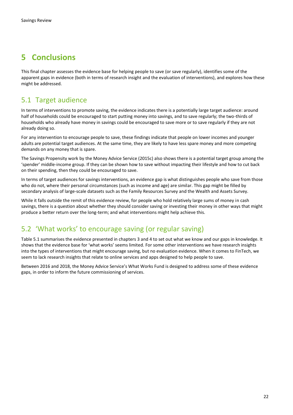# **5 Conclusions**

This final chapter assesses the evidence base for helping people to save (or save regularly), identifies some of the apparent gaps in evidence (both in terms of research insight and the evaluation of interventions), and explores how these might be addressed.

# 5.1 Target audience

In terms of interventions to promote saving, the evidence indicates there is a potentially large target audience: around half of households could be encouraged to start putting money into savings, and to save regularly; the two-thirds of households who already have money in savings could be encouraged to save more or to save regularly if they are not already doing so.

For any intervention to encourage people to save, these findings indicate that people on lower incomes and younger adults are potential target audiences. At the same time, they are likely to have less spare money and more competing demands on any money that is spare.

The Savings Propensity work by the Money Advice Service (2015c) also shows there is a potential target group among the 'spender' middle-income group. If they can be shown how to save without impacting their lifestyle and how to cut back on their spending, then they could be encouraged to save.

In terms of target audiences for savings interventions, an evidence gap is what distinguishes people who save from those who do not, where their personal circumstances (such as income and age) are similar. This gap might be filled by secondary analysis of large-scale datasets such as the Family Resources Survey and the Wealth and Assets Survey.

While it falls outside the remit of this evidence review, for people who hold relatively large sums of money in cash savings, there is a question about whether they should consider saving or investing their money in other ways that might produce a better return over the long-term; and what interventions might help achieve this.

# 5.2 'What works' to encourage saving (or regular saving)

Table 5.1 summarises the evidence presented in chapters 3 and 4 to set out what we know and our gaps in knowledge. It shows that the evidence base for 'what works' seems limited. For some other interventions we have research insights into the types of interventions that might encourage saving, but no evaluation evidence. When it comes to FinTech, we seem to lack research insights that relate to online services and apps designed to help people to save.

Between 2016 and 2018, the Money Advice Service's What Works Fund is designed to address some of these evidence gaps, in order to inform the future commissioning of services.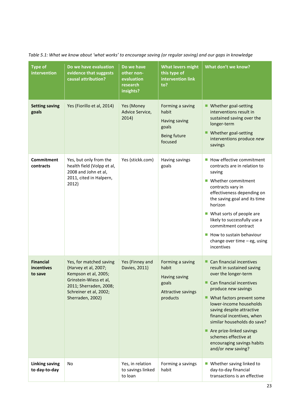*Table 5.1: What we know about 'what works' to encourage saving (or regular saving) and our gaps in knowledge*

| <b>Type of</b><br>intervention            | Do we have evaluation<br>evidence that suggests<br>causal attribution?                                                                                                    | Do we have<br>other non-<br>evaluation<br>research<br>insights? | <b>What levers might</b><br>this type of<br>intervention link<br>to?                         | What don't we know?                                                                                                                                                                                                                                                                                                                                                                           |
|-------------------------------------------|---------------------------------------------------------------------------------------------------------------------------------------------------------------------------|-----------------------------------------------------------------|----------------------------------------------------------------------------------------------|-----------------------------------------------------------------------------------------------------------------------------------------------------------------------------------------------------------------------------------------------------------------------------------------------------------------------------------------------------------------------------------------------|
| <b>Setting saving</b><br>goals            | Yes (Fiorillo et al, 2014)                                                                                                                                                | Yes (Money<br>Advice Service,<br>2014)                          | Forming a saving<br>habit<br>Having saving<br>goals<br>Being future<br>focused               | ■ Whether goal-setting<br>interventions result in<br>sustained saving over the<br>longer-term<br>Whether goal-setting<br>interventions produce new<br>savings                                                                                                                                                                                                                                 |
| Commitment<br>contracts                   | Yes, but only from the<br>health field (Volpp et al,<br>2008 and John et al,<br>2011, cited in Halpern,<br>2012)                                                          | Yes (stickk.com)                                                | Having savings<br>goals                                                                      | How effective commitment<br>contracts are in relation to<br>saving<br>Whether commitment<br>contracts vary in<br>effectiveness depending on<br>the saving goal and its time<br>horizon<br>■ What sorts of people are<br>likely to successfully use a<br>commitment contract<br>How to sustain behaviour<br>change over time $-$ eg, using<br>incentives                                       |
| <b>Financial</b><br>incentives<br>to save | Yes, for matched saving<br>(Harvey et al, 2007;<br>Kempson et al, 2005;<br>Grinstein-Wiess et al,<br>2011; Sherraden, 2008;<br>Schreiner et al, 2002;<br>Sherraden, 2002) | Yes (Finney and<br>Davies, 2011)                                | Forming a saving<br>habit<br>Having saving<br>goals<br><b>Attractive savings</b><br>products | Can financial incentives<br>result in sustained saving<br>over the longer-term<br>Can financial incentives<br>produce new savings<br>■ What factors prevent some<br>lower-income households<br>saving despite attractive<br>financial incentives, when<br>similar households do save?<br>Are prize-linked savings<br>schemes effective at<br>encouraging savings habits<br>and/or new saving? |
| <b>Linking saving</b><br>to day-to-day    | No                                                                                                                                                                        | Yes, in relation<br>to savings linked<br>to loan                | Forming a savings<br>habit                                                                   | ■ Whether saving linked to<br>day-to-day financial<br>transactions is an effective                                                                                                                                                                                                                                                                                                            |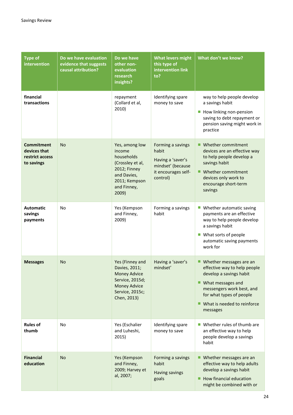| <b>Type of</b><br>intervention                                     | Do we have evaluation<br>evidence that suggests<br>causal attribution? | Do we have<br>other non-<br>evaluation<br>research<br>insights?                                                                     | <b>What levers might</b><br>this type of<br>intervention link<br>to?                                    | What don't we know?                                                                                                                                                                                                |
|--------------------------------------------------------------------|------------------------------------------------------------------------|-------------------------------------------------------------------------------------------------------------------------------------|---------------------------------------------------------------------------------------------------------|--------------------------------------------------------------------------------------------------------------------------------------------------------------------------------------------------------------------|
| financial<br>transactions                                          |                                                                        | repayment<br>(Collard et al,<br>2010)                                                                                               | Identifying spare<br>money to save                                                                      | way to help people develop<br>a savings habit<br>How linking non-pension<br>$\mathcal{C}$<br>saving to debt repayment or<br>pension saving might work in<br>practice                                               |
| <b>Commitment</b><br>devices that<br>restrict access<br>to savings | <b>No</b>                                                              | Yes, among low<br>income<br>households<br>(Crossley et al,<br>2012; Finney<br>and Davies,<br>2011; Kempson<br>and Finney,<br>2009)  | Forming a savings<br>habit<br>Having a 'saver's<br>mindset' (because<br>it encourages self-<br>control) | ■ Whether commitment<br>devices are an effective way<br>to help people develop a<br>savings habit<br>■ Whether commitment<br>devices only work to<br>encourage short-term<br>savings                               |
| <b>Automatic</b><br>savings<br>payments                            | <b>No</b>                                                              | Yes (Kempson<br>and Finney,<br>2009)                                                                                                | Forming a savings<br>habit                                                                              | Whether automatic saving<br>$\mathcal{L}_{\mathcal{A}}$<br>payments are an effective<br>way to help people develop<br>a savings habit<br>■ What sorts of people<br>automatic saving payments<br>work for           |
| <b>Messages</b>                                                    | <b>No</b>                                                              | Yes (Finney and<br>Davies, 2011;<br><b>Money Advice</b><br>Service, 2015d;<br><b>Money Advice</b><br>Service, 2015c;<br>Chen, 2013) | Having a 'saver's<br>mindset'                                                                           | ■ Whether messages are an<br>effective way to help people<br>develop a savings habit<br>What messages and<br>ш<br>messengers work best, and<br>for what types of people<br>What is needed to reinforce<br>messages |
| <b>Rules of</b><br>thumb                                           | <b>No</b>                                                              | Yes (Eschalier<br>and Luheshi,<br>2015)                                                                                             | Identifying spare<br>money to save                                                                      | Whether rules of thumb are<br>an effective way to help<br>people develop a savings<br>habit                                                                                                                        |
| <b>Financial</b><br>education                                      | <b>No</b>                                                              | Yes (Kempson<br>and Finney,<br>2009; Harvey et<br>al, 2007;                                                                         | Forming a savings<br>habit<br>Having savings<br>goals                                                   | Whether messages are an<br>■<br>effective way to help adults<br>develop a savings habit<br>How financial education<br>might be combined with or                                                                    |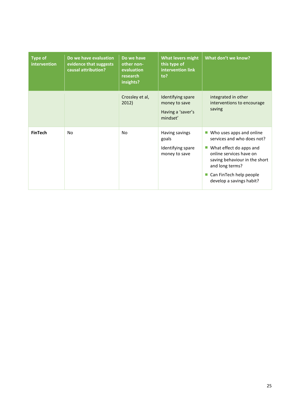| <b>Type of</b><br>intervention | Do we have evaluation<br>evidence that suggests<br>causal attribution? | Do we have<br>other non-<br>evaluation<br>research<br>insights? | <b>What levers might</b><br>this type of<br>intervention link<br>to? | What don't we know?                                                                                                                                                                                                     |
|--------------------------------|------------------------------------------------------------------------|-----------------------------------------------------------------|----------------------------------------------------------------------|-------------------------------------------------------------------------------------------------------------------------------------------------------------------------------------------------------------------------|
|                                |                                                                        | Crossley et al,<br>2012)                                        | Identifying spare<br>money to save<br>Having a 'saver's<br>mindset'  | integrated in other<br>interventions to encourage<br>saving                                                                                                                                                             |
| <b>FinTech</b>                 | N <sub>0</sub>                                                         | No.                                                             | Having savings<br>goals<br>Identifying spare<br>money to save        | Who uses apps and online<br>services and who does not?<br>What effect do apps and<br>online services have on<br>saving behaviour in the short<br>and long terms?<br>Can FinTech help people<br>develop a savings habit? |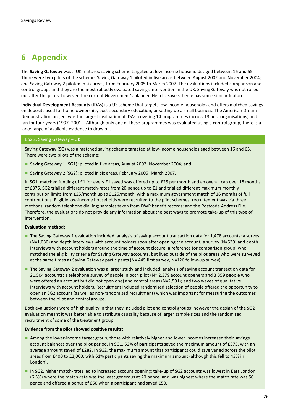# **6 Appendix**

The **Saving Gateway** was a UK matched saving scheme targeted at low income households aged between 16 and 65. There were two pilots of the scheme: Saving Gateway 1 piloted in five areas between August 2002 and November 2004; and Saving Gateway 2 piloted in six areas, from February 2005 to March 2007. The evaluations included comparison and control groups and they are the most robustly evaluated savings intervention in the UK. Saving Gateway was not rolled out after the pilots; however, the current Government's planned Help to Save scheme has some similar features.

**Individual Development Accounts** (IDAs) is a US scheme that targets low-income households and offers matched savings on deposits used for home ownership, post-secondary education, or setting up a small business. The American Dream Demonstration project was the largest evaluation of IDAs, covering 14 programmes (across 13 host organisations) and ran for four years (1997–2001). Although only one of these programmes was evaluated using a control group, there is a large range of available evidence to draw on.

#### Box 2: Saving Gateway – UK

Saving Gateway (SG) was a matched saving scheme targeted at low-income households aged between 16 and 65. There were two pilots of the scheme:

- Saving Gateway 1 (SG1): piloted in five areas, August 2002–November 2004; and
- Saving Gateway 2 (SG2): piloted in six areas, February 2005–March 2007.

In SG1, matched funding of £1 for every £1 saved was offered up to £25 per month and an overall cap over 18 months of £375. SG2 trialled different match-rates from 20 pence up to £1 and trialled different maximum monthly contribution limits from £25/month up to £125/month, with a maximum government match of 16 months of full contributions. Eligible low-income households were recruited to the pilot schemes, recruitement was via three methods; random telephone dialling; samples taken from DWP benefit records; and the Postcode Address File. Therefore, the evaluations do not provide any information about the best ways to promote take-up of this type of intervention.

#### **Evaluation method:**

- The Saving Gateway 1 evaluation included: analysis of saving account transaction data for 1,478 accounts; a survey (N=1,030) and depth interviews with account holders soon after opening the account; a survey (N=539) and depth interviews with account holders around the time of account closure; a reference (or comparison group) who matched the eligibility criteria for Saving Gateway accounts, but lived outside of the pilot areas who were surveyed at the same times as Saving Gateway participants (N= 445 first survey, N=126 follow-up survey).
- The Saving Gateway 2 evaluation was a larger study and included: analysis of saving account transaction data for 21,504 accounts; a telephone survey of people in both pilot (N= 2,379 account openers and 3,359 people who were offered an account but did not open one) and control areas (N=2,591); and two waves of qualitative interviews with account holders. Recruitment included randomised selection of people offered the opportunity to open an SG2 account (as well as non-randomised recruitment) which was important for measuring the outcomes between the pilot and control groups.

Both evaluations were of high quality in that they included pilot and control groups; however the design of the SG2 evaluation meant it was better able to attribute causality because of larger sample sizes and the randomised recruitment of some of the treatment group.

#### **Evidence from the pilot showed positive results:**

- Among the lower-income target group, those with relatively higher and lower incomes increased their savings account balances over the pilot period. In SG1, 52% of participants saved the maximum amount of £375, with an average amount saved of £282. In SG2, the maximum amount that participants could save varied across the pilot areas from £400 to £2,000, with 61% participants saving the maximum amount (although this fell to 43% in London).
- In SG2, higher match-rates led to increased account opening: take-up of SG2 accounts was lowest in East London (6.5%) where the match-rate was the least generous at 20 pence, and was highest where the match rate was 50 pence and offered a bonus of £50 when a participant had saved £50.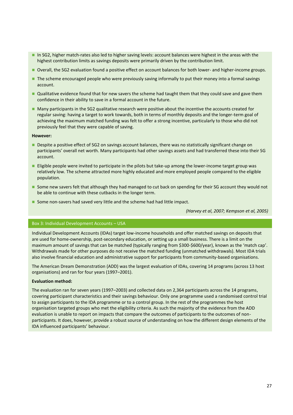- In SG2, higher match-rates also led to higher saving levels: account balances were highest in the areas with the highest contribution limits as savings deposits were primarily driven by the contribution limit.
- Overall, the SG2 evaluation found a positive effect on account balances for both lower- and higher-income groups.
- The scheme encouraged people who were previously saving informally to put their money into a formal savings account.
- Qualitative evidence found that for new savers the scheme had taught them that they could save and gave them confidence in their ability to save in a formal account in the future.
- Many participants in the SG2 qualitative research were positive about the incentive the accounts created for regular saving: having a target to work towards, both in terms of monthly deposits and the longer-term goal of achieving the maximum matched funding was felt to offer a strong incentive, particularly to those who did not previously feel that they were capable of saving.

#### **However:**

- Despite a positive effect of SG2 on savings account balances, there was no statistically significant change on participants' overall net worth. Many participants had other savings assets and had transferred these into their SG account.
- **Eligible people were invited to participate in the pilots but take-up among the lower-income target group was** relatively low. The scheme attracted more highly educated and more employed people compared to the eligible population.
- Some new savers felt that although they had managed to cut back on spending for their SG account they would not be able to continue with these cutbacks in the longer term.
- Some non-savers had saved very little and the scheme had had little impact.

*(Harvey et al, 2007; Kempson et al, 2005)*

### Box 3: Individual Development Accounts – USA

Individual Development Accounts (IDAs) target low-income households and offer matched savings on deposits that are used for home-ownership, post-secondary education, or setting up a small business. There is a limit on the maximum amount of savings that can be matched (typically ranging from \$300-\$600/year), known as the 'match cap'. Withdrawals made for other purposes do not receive the matched funding (unmatched withdrawals). Most IDA trials also involve financial education and administrative support for participants from community-based organisations.

The American Dream Demonstration (ADD) was the largest evaluation of IDAs, covering 14 programs (across 13 host organisations) and ran for four years (1997–2001).

#### **Evaluation method:**

The evaluation ran for seven years (1997–2003) and collected data on 2,364 participants across the 14 programs, covering participant characteristics and their savings behaviour. Only one programme used a randomised control trial to assign participants to the IDA programme or to a control group. In the rest of the programmes the host organisation targeted groups who met the eligibility criteria. As such the majority of the evidence from the ADD evaluation is unable to report on impacts that compare the outcomes of participants to the outcomes of nonparticipants. It does, however, provide a robust source of understanding on how the different design elements of the IDA influenced participants' behaviour.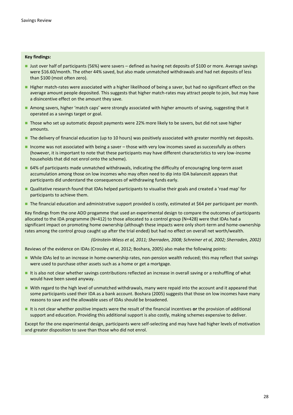#### **Key findings:**

- Just over half of participants (56%) were savers defined as having net deposits of \$100 or more. Average savings were \$16.60/month. The other 44% saved, but also made unmatched withdrawals and had net deposits of less than \$100 (most often zero).
- Higher match-rates were associated with a higher likelihood of being a saver, but had no significant effect on the average amount people deposited. This suggests that higher match-rates may attract people to join, but may have a disincentive effect on the amount they save.
- Among savers, higher 'match caps' were strongly associated with higher amounts of saving, suggesting that it operated as a savings target or goal.
- Those who set up automatic deposit payments were 22% more likely to be savers, but did not save higher amounts.
- The delivery of financial education (up to 10 hours) was positively associated with greater monthly net deposits.
- Income was not associated with being a saver  $-$  those with very low incomes saved as successfully as others (however, it is important to note that these participants may have different characteristics to very low-income households that did not enrol onto the scheme).
- 64% of participants made unmatched withdrawals, indicating the difficulty of encouraging long-term asset accumulation among those on low incomes who may often need to dip into IDA balancesIt appears that participants did understand the consequences of withdrawing funds early.
- Qualitative research found that IDAs helped participants to visualise their goals and created a 'road map' for participants to achieve them.
- The financial education and administrative support provided is costly, estimated at \$64 per participant per month.

Key findings from the one ADD progamme that used an experimental design to compare the outcomes of participants allocated to the IDA programme (N=412) to those allocated to a control group (N=428) were that IDAs had a significant impact on promoting home ownership (although these impacts were only short-term and home-ownership rates among the control group caught up after the trial ended) but had no effect on overall net worth/wealth.

*(Grinstein-Wiess et al, 2011; Sherraden, 2008; Schreiner et al, 2002; Sherraden, 2002)*

Reviews of the evidence on IDAs (Crossley et al, 2012; Boshara, 2005) also make the following points:

- While IDAs led to an increase in home-ownership rates, non-pension wealth reduced; this may reflect that savings were used to purchase other assets such as a home or get a mortgage.
- It is also not clear whether savings contributions reflected an increase in overall saving or a reshuffling of what would have been saved anyway.
- With regard to the high level of unmatched withdrawals, many were repaid into the account and it appeared that some participants used their IDA as a bank account. Boshara (2005) suggests that those on low incomes have many reasons to save and the allowable uses of IDAs should be broadened.
- It is not clear whether positive impacts were the result of the financial incentives **or** the provision of additional support and education. Providing this additional support is also costly, making schemes expensive to deliver.

Except for the one experimental design, participants were self-selecting and may have had higher levels of motivation and greater disposition to save than those who did not enrol.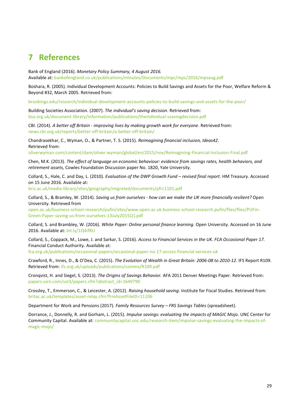# **7 References**

Bank of England (2016). *Monetary Policy Summary, 4 August 2016.*  Available at: [bankofengland.co.uk/publications/minutes/Documents/mpc/mps/2016/mpsaug.pdf](file:///C:/Users/HPitman/AppData/Local/Microsoft/Windows/INetCache/Content.Outlook/PQ8QHUDA/bankofengland.co.uk/publications/minutes/Documents/mpc/mps/2016/mpsaug.pdf)

Boshara, R. (2005). Individual Development Accounts: Policies to Build Savings and Assets for the Poor, Welfare Reform & Beyond #32, March 2005. Retrieved from:

[brookings.edu/research/individual-development-accounts-policies-to-build-savings-and-assets-for-the-poor/](https://www.brookings.edu/research/individual-development-accounts-policies-to-build-savings-and-assets-for-the-poor/)

Building Societies Association. (2007). *The individual's saving decision*. Retrieved from: [bsa.org.uk/document-library/information/publications/theindividual-ssavingdecision.pdf](https://www.bsa.org.uk/document-library/information/publications/theindividual-ssavingdecision.pdf)

CBI. (2014). *A better off Britain - improving lives by making growth work for everyone*. Retrieved from: [news.cbi.org.uk/reports/better-off-britain/a-better-off-britain/](http://news.cbi.org.uk/reports/better-off-britain/a-better-off-britain/)

Chandrasekhar, C., Wyman, O., & Partner, T. S. (2015). *Reimagining financial inclusion, Ideas42*. Retrieved from:

[oliverwyman.com/content/dam/oliver-wyman/global/en/2015/nov/Reimagining-Financial-Inclusion-Final.pdf](http://www.oliverwyman.com/content/dam/oliver-wyman/global/en/2015/nov/Reimagining-Financial-Inclusion-Final.pdf)

Chen, M.K. (2013). *The effect of language on economic behaviour: evidence from savings rates, health behaviors, and retirement assets,* Cowles Foundation Discussion paper No. 1820, Yale University.

Collard, S., Hale, C. and Day, L. (2010). *Evaluation of the DWP Growth Fund – revised final report*. HM Treasury. Accessed on 15 June 2016. Available at:

[bris.ac.uk/media-library/sites/geography/migrated/documents/pfrc1101.pdf](http://www.bris.ac.uk/media-library/sites/geography/migrated/documents/pfrc1101.pdf)

Collard, S., & Bramley, W. (2014). *Saving us from ourselves - how can we make the UK more financially resilient?* Open University. Retrieved from

[open.ac.uk/business-school-research/pufin/sites/www.open.ac.uk.business-school-research.pufin/files/files/PUFin-](http://www.open.ac.uk/business-school-research/pufin/sites/www.open.ac.uk.business-school-research.pufin/files/files/PUFin-Green-Paper-saving-us-from-ourselves-13July2015(2).pdf)[Green-Paper-saving-us-from-ourselves-13July2015\(2\).pdf](http://www.open.ac.uk/business-school-research/pufin/sites/www.open.ac.uk.business-school-research.pufin/files/files/PUFin-Green-Paper-saving-us-from-ourselves-13July2015(2).pdf)

Collard, S. and Brambley, W. (2016). *White Paper: Online personal finance learning.* Open University*.* Accessed on 16 June 2016. Available at: [bit.ly/1Q4ifRU](http://bit.ly/1Q4ifRU)

Collard, S., Coppack, M., Lowe, J. and Sarkar, S. (2016). *Access to Financial Services in the UK. FCA Occasional Paper 17.* Financial Conduct Authority. Available at:

[fca.org.uk/publications/occasional-papers/occasional-paper-no-17-access-financial-services-uk](https://www.fca.org.uk/publications/occasional-papers/occasional-paper-no-17-access-financial-services-uk)

Crawford, R., Innes, D., & O'Dea, C. (2015). *The Evolution of Wealth in Great Britain: 2006-08 to 2010-12*. IFS Report R109. Retrieved from: [ifs.org.uk/uploads/publications/comms/R109.pdf](http://www.ifs.org.uk/uploads/publications/comms/R109.pdf)

Cronqvist, H. and Siegel, S. (2013). *The Origins of Savings Behavior.* AFA 2011 Denver Meetings Paper. Retrieved from: [papers.ssrn.com/sol3/papers.cfm?abstract\\_id=1649790](http://papers.ssrn.com/sol3/papers.cfm?abstract_id=1649790)

Crossley, T., Emmerson, C., & Leicester, A. (2012). *Raising household saving*. Institute for Fiscal Studies. Retrieved from: [britac.ac.uk/templates/asset-relay.cfm?frmAssetFileID=11106](http://www.britac.ac.uk/templates/asset-relay.cfm?frmAssetFileID=11106)

Department for Work and Pensions (2017). *Family Resources Survey – FRS Savings Tables* (spreadsheet).

Dorrance, J., Donnelly, R. and Gorham, L. (2015). *Impulse savings: evaluating the impacts of MAGIC Mojo.* UNC Center for Community Capital. Available at[: communitycapital.unc.edu/research-item/impulse-savings-evaluating-the-impacts-of](http://communitycapital.unc.edu/research-item/impulse-savings-evaluating-the-impacts-of-magic-mojo/)[magic-mojo/](http://communitycapital.unc.edu/research-item/impulse-savings-evaluating-the-impacts-of-magic-mojo/)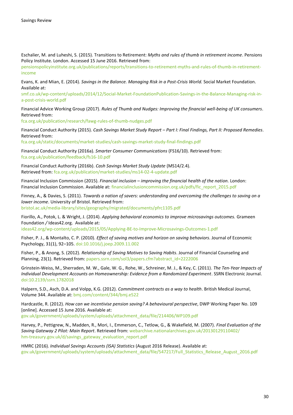Eschalier, M. and Luheshi, S. (2015). Transitions to Retirement: *Myths and rules of thumb in retirement income*. Pensions Policy Institute. London. Accessed 15 June 2016. Retrieved from:

[pensionspolicyinstitute.org.uk/publications/reports/transitions-to-retirement-myths-and-rules-of-thumb-in-retirement](http://www.pensionspolicyinstitute.org.uk/publications/reports/transitions-to-retirement-myths-and-rules-of-thumb-in-retirement-income)[income](http://www.pensionspolicyinstitute.org.uk/publications/reports/transitions-to-retirement-myths-and-rules-of-thumb-in-retirement-income)

Evans, K. and Mian, E. (2014). *Savings in the Balance. Managing Risk in a Post-Crisis World.* Social Market Foundation. Available at:

[smf.co.uk/wp-content/uploads/2014/12/Social-Market-FoundationPublication-Savings-in-the-Balance-Managing-risk-in](http://www.smf.co.uk/wp-content/uploads/2014/12/Social-Market-FoundationPublication-Savings-in-the-Balance-Managing-risk-in-a-post-crisis-world.pdf)[a-post-crisis-world.pdf](http://www.smf.co.uk/wp-content/uploads/2014/12/Social-Market-FoundationPublication-Savings-in-the-Balance-Managing-risk-in-a-post-crisis-world.pdf)

Financial Advice Working Group (2017). *Rules of Thumb and Nudges: Improving the financial well-being of UK consumers*. Retrieved from:

[fca.org.uk/publication/research/fawg-rules-of-thumb-nudges.pdf](https://fca.org.uk/publication/research/fawg-rules-of-thumb-nudges.pdf)

Financial Conduct Authority (2015). *Cash Savings Market Study Report – Part I: Final Findings, Part II: Proposed Remedies*. Retrieved from:

[fca.org.uk/static/documents/market-studies/cash-savings-market-study-final-findings.pdf](https://www.fca.org.uk/static/documents/market-studies/cash-savings-market-study-final-findings.pdf)

Financial Conduct Authority (2016a). *Smarter Consumer Communications* (FS16/10). Retrieved from: [fca.org.uk/publication/feedback/fs16-10.pdf](https://fca.org.uk/publication/feedback/fs16-10.pdf)

Financial Conduct Authority (2016b). *Cash Savings Market Study Update* (MS14/2.4). Retrieved from: [fca.org.uk/publication/market-studies/ms14-02-4-update.pdf](https://www.fca.org.uk/publication/market-studies/ms14-02-4-update.pdf)

Financial Inclusion Commission (2015). *Financial inclusion – improving the financial health of the nation.* London: Financial Inclusion Commission. Available at[: financialinclusioncommission.org.uk/pdfs/fic\\_report\\_2015.pdf](http://www.financialinclusioncommission.org.uk/pdfs/fic_report_2015.pdf)

Finney, A., & Davies, S. (2011). *Towards a nation of savers: understanding and overcoming the challenges to saving on a lower income*. University of Bristol. Retrieved from: [bristol.ac.uk/media-library/sites/geography/migrated/documents/pfrc1105.pdf](http://www.bristol.ac.uk/media-library/sites/geography/migrated/documents/pfrc1105.pdf)

Fiorillo, A., Potok, L. & Wright, J. (2014). *Applying behavioral economics to improve microsavings outcomes.* Grameen Foundation */* Ideas42.org. Available at:

[ideas42.org/wp-content/uploads/2015/05/Applying-BE-to-Improve-Microsavings-Outcomes-1.pdf](http://www.ideas42.org/wp-content/uploads/2015/05/Applying-BE-to-Improve-Microsavings-Outcomes-1.pdf)

Fisher, P. J., & Montalto, C. P. (2010). *Effect of saving motives and horizon on saving behaviors*. Journal of Economic Psychology, 31(1), 92–105.<doi:10.1016/j.joep.2009.11.002>

Fisher, P., & Anong, S. (2012). *Relationship of Saving Motives to Saving Habits*. Journal of Financial Counseling and Planning, 23(1). Retrieved from: [papers.ssrn.com/sol3/papers.cfm?abstract\\_id=2222006](http://papers.ssrn.com/sol3/papers.cfm?abstract_id=2222006)

Grinstein-Weiss, M., Sherraden, M. W., Gale, W. G., Rohe, W., Schreiner, M. J., & Key, C. (2011). *The Ten-Year Impacts of Individual Development Accounts on Homeownership: Evidence from a Randomized Experiment*. SSRN Electronic Journal. <doi:10.2139/ssrn.1782018>

Halpern, S.D., Asch, D.A. and Volpp, K.G. (2012). *Commitment contracts as a way to health*. British Medical Journal, Volume 344. Available at: [bmj.com/content/344/bmj.e522](http://www.bmj.com/content/344/bmj.e522)

Hardcastle, R. (2012). *How can we incentivise pension saving? A behavioural perspective*, DWP Working Paper No. 109 [online]. Accessed 15 June 2016. Available at:

[gov.uk/government/uploads/system/uploads/attachment\\_data/file/214406/WP109.pdf](https://www.gov.uk/government/uploads/system/uploads/attachment_data/file/214406/WP109.pdf)

Harvey, P., Pettigrew, N., Madden, R., Mori, I., Emmerson, C., Tetlow, G., & Wakefield, M. (2007). *Final Evaluation of the Saving Gateway 2 Pilot: Main Report*. Retrieved from: [webarchive.nationalarchives.gov.uk/20130129110402/](http://webarchive.nationalarchives.gov.uk/20130129110402/) [hm-treasury.gov.uk/d/savings\\_gateway\\_evaluation\\_report.pdf](http://www.hm-treasury.gov.uk/d/savings_gateway_evaluation_report.pdf)

HMRC (2016). *Individual Savings Accounts (ISA) Statistics* (August 2016 Release). Available at: [gov.uk/government/uploads/system/uploads/attachment\\_data/file/547217/Full\\_Statistics\\_Release\\_August\\_2016.pdf](https://www.gov.uk/government/uploads/system/uploads/attachment_data/file/547217/Full_Statistics_Release_August_2016.pdf)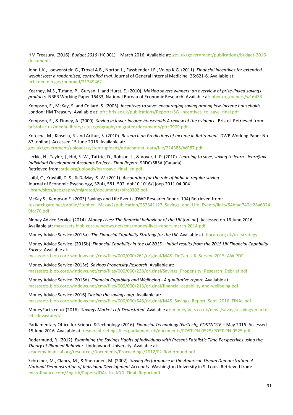HM Treasury. (2016). *Budget 2016* (HC 901) – March 2016. Available at: [gov.uk/government/publications/budget-2016](https://www.gov.uk/government/publications/budget-2016-documents) [documents](https://www.gov.uk/government/publications/budget-2016-documents)

John L.K., Loewenstein G., Troxel A.B., Norton L., Fassbender J.E., Volpp K.G. (2011). *Financial incentives for extended weight loss: a randomized, controlled trial*. Journal of General Internal Medicine 26:621-6. Available at: [ncbi.nlm.nih.gov/pubmed/21249462](https://www.ncbi.nlm.nih.gov/pubmed/21249462)

Kearney, M.S., Tufano, P., Guryan, J. and Hurst, E. (2010). *Making savers winners: an overview of prize-linked savings products,* NBER Working Paper 16433, National Bureau of Economic Research. Available at[: nber.org/papers/w16433](http://www.nber.org/papers/w16433)

Kempson, E., McKay, S. and Collard, S. (2005). *Incentives to save: encouraging saving among low-income households*. London: HM Treasury. Available at[: pfrc.bris.ac.uk/publications/Reports/SG\\_Incentives\\_to\\_save\\_final.pdf](http://www.pfrc.bris.ac.uk/publications/Reports/SG_Incentives_to_save_final.pdf)

Kempson, E., & Finney, A. (2009). *Saving in lower-income households A review of the evidence*. Bristol. Retrieved from: [bristol.ac.uk/media-library/sites/geography/migrated/documents/pfrc0909.pdf](http://www.bristol.ac.uk/media-library/sites/geography/migrated/documents/pfrc0909.pdf)

Kotecha, M., Kinsella, R. and Arthur, S. (2010). *Research on Predictions of Income in Retirement*. DWP Working Paper No. 87 [online]. Accessed 15 June 2016. Available at: [gov.uk/government/uploads/system/uploads/attachment\\_data/file/214385/WP87.pdf](https://www.gov.uk/government/uploads/system/uploads/attachment_data/file/214385/WP87.pdf)

Leckie, N., Taylor, |, Hui, S.-W., Tattrie, D., Robson, J., & Voyer, J.-P. (2010). *Learning to save, saving to learn - learn\$ave Individual Development Accounts Project - Final Report*. SRDC/SRSA (Canada). Retrieved from: [srdc.org/uploads/learnsave\\_final\\_en.pdf](http://www.srdc.org/uploads/learnsave_final_en.pdf)

Loibl, C., Kraybill, D. S., & DeMay, S. W. (2011). *Accounting for the role of habit in regular saving*. Journal of Economic Psychology, 32(4), 581–592. doi:10.1016/j.joep.2011.04.004 [library/sites/geography/migrated/documents/pfrc0302.pdf](file:///C:/Users/SFernandes/AppData/Local/Microsoft/Windows/INetCache/Content.Outlook/YC4F918I/library/sites/geography/migrated/documents/pfrc0302.pdf)

McKay S., Kempson E. (2003) Savings and Life Events (DWP Research Report 194) Retrieved from: [researchgate.net/profile/Stephen\\_Mckay2/publication/252341127\\_Savings\\_and\\_Life\\_Events/links/54bfad740cf28a6324](https://www.researchgate.net/profile/Stephen_Mckay2/publication/252341127_Savings_and_Life_Events/links/54bfad740cf28a63249fcc70.pdf) [9fcc70.pdf](https://www.researchgate.net/profile/Stephen_Mckay2/publication/252341127_Savings_and_Life_Events/links/54bfad740cf28a63249fcc70.pdf)

Money Advice Service (2014). *Money Lives: The financial behaviour of the UK* [online]. Accessed on 16 June 2016. Available at: [masassets.blob.core.windows.net/cms/money-lives-report-march-2014.pdf](https://masassets.blob.core.windows.net/cms/money-lives-report-march-2014.pdf)

Money Advice Service (2015a). *The Financial Capability Strategy for the UK*. Available at: [fincap.org.uk/uk\\_strategy](https://www.fincap.org.uk/uk_strategy)

Money Advice Service. (2015b). *Financial Capability in the UK 2015 – Initial results from the 2015 UK Financial Capability Survey*. Available at:

[masassets.blob.core.windows.net/cms/files/000/000/261/original/MAS\\_FinCap\\_UK\\_Survey\\_2015\\_AW.PDF](https://masassets.blob.core.windows.net/cms/files/000/000/261/original/MAS_FinCap_UK_Survey_2015_AW.PDF)

Money Advice Service (2015c). *Savings Propensity Research*. Available at: masassets.blob.core.windows.net/cms/files/000/000/238/original/Savings\_Propensity\_Research\_Debrief.pdf

Money Advice Service (2015d). *Financial Capability and Wellbeing - A qualitative report*. Available at: [masassets.blob.core.windows.net/cms/files/000/000/213/original/financial-capability-and-wellbeing.pdf](https://masassets.blob.core.windows.net/cms/files/000/000/213/original/financial-capability-and-wellbeing.pdf)

Money Advice Service (2016) *Closing the savings gap.* Available at: [masassets.blob.core.windows.net/cms/files/000/000/548/original/MAS\\_Savings\\_Report\\_Sept\\_2016\\_FINAL.pdf](https://masassets.blob.core.windows.net/cms/files/000/000/548/original/MAS_Savings_Report_Sept_2016_FINAL.pdf)

MoneyFacts.co.uk (2016). *Savings Market Left Devastated.* Available at[: moneyfacts.co.uk/news/savings/savings-market](http://moneyfacts.co.uk/news/savings/savings-market-left-devastated/)[left-devastated/](http://moneyfacts.co.uk/news/savings/savings-market-left-devastated/)

Parliamentary Office for Science &Technology (2016). *Financial Technology (FinTech), POSTNOTE –* May 2016*.* Accessed 15 June 2016. Available at: [researchbriefings.files.parliament.uk/documents/POST-PN-0525/POST-PN-0525.pdf](http://researchbriefings.files.parliament.uk/documents/POST-PN-0525/POST-PN-0525.pdf)

Rodermund, R. (2012). *Examining the Savings Habits of Individuals with Present-Fatalistic Time Perspectives using the Theory of Planned Behavior*. Lindenwood University. Available at: [academyfinancial.org/resources/Documents/Proceedings/2012/F2-Rodermund.pdf](http://www.academyfinancial.org/resources/Documents/Proceedings/2012/F2-Rodermund.pdf)

Schreiner, M., Clancy, M., & Sherraden, M. (2002). *Saving Performance in the American Dream Demonstration: A National Demonstration of Individual Development Accounts*. Washington University in St Louis. Retrieved from: [microfinance.com/English/Papers/IDAs\\_in\\_ADD\\_Final\\_Report.pdf](http://www.microfinance.com/English/Papers/IDAs_in_ADD_Final_Report.pdf)